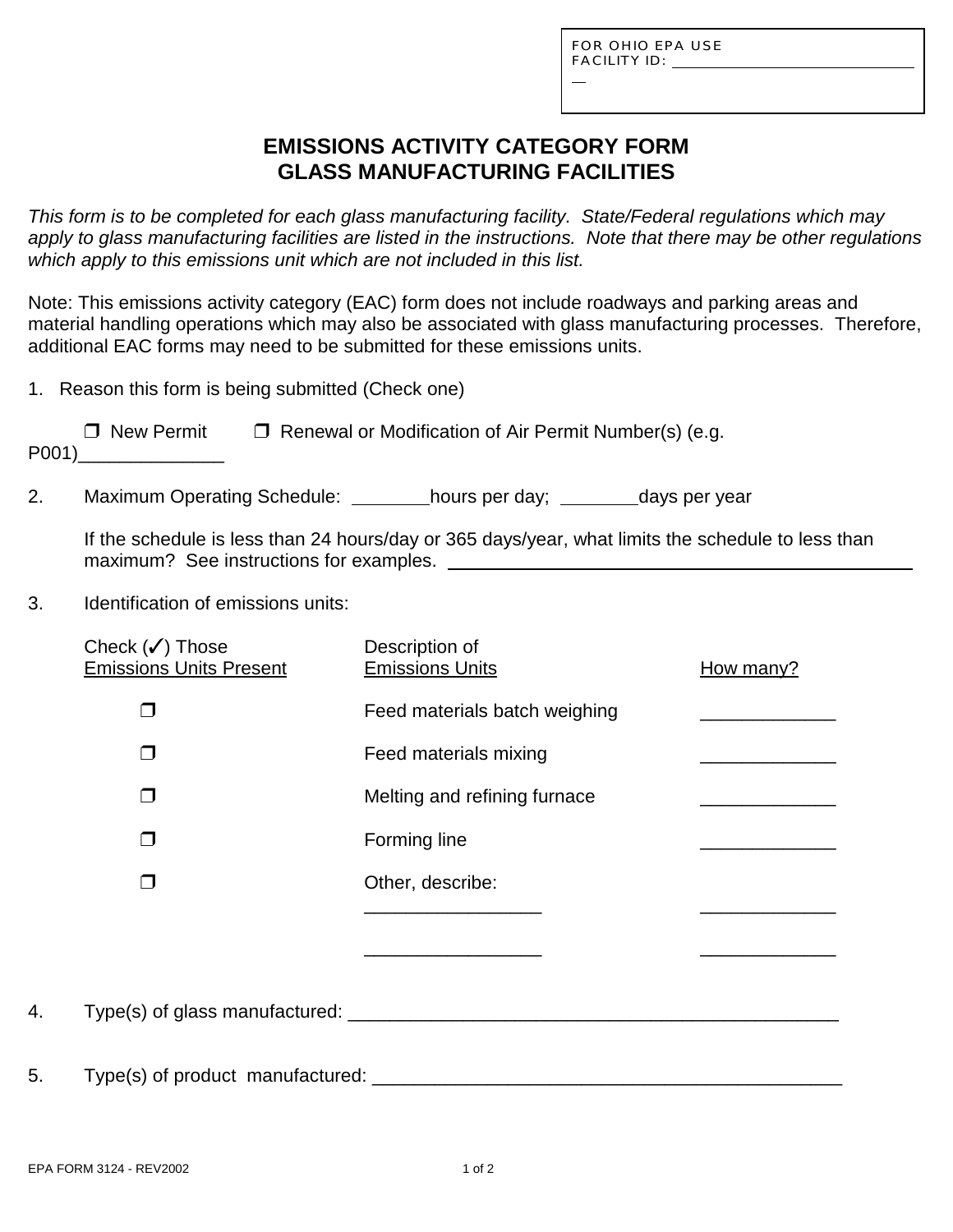L

# **EMISSIONS ACTIVITY CATEGORY FORM GLASS MANUFACTURING FACILITIES**

*This form is to be completed for each glass manufacturing facility. State/Federal regulations which may apply to glass manufacturing facilities are listed in the instructions. Note that there may be other regulations which apply to this emissions unit which are not included in this list.*

Note: This emissions activity category (EAC) form does not include roadways and parking areas and material handling operations which may also be associated with glass manufacturing processes. Therefore, additional EAC forms may need to be submitted for these emissions units.

|  |  |  |  |  | 1. Reason this form is being submitted (Check one) |
|--|--|--|--|--|----------------------------------------------------|
|--|--|--|--|--|----------------------------------------------------|

| □ New Permit | $\Box$ Renewal or Modification of Air Permit Number(s) (e.g. |
|--------------|--------------------------------------------------------------|
| P001)        |                                                              |

2. Maximum Operating Schedule: \_\_\_\_\_\_\_hours per day; \_\_\_\_\_\_\_days per year

If the schedule is less than 24 hours/day or 365 days/year, what limits the schedule to less than maximum? See instructions for examples.

3. Identification of emissions units:

|    | Check $(\checkmark)$ Those<br><b>Emissions Units Present</b> | Description of<br><b>Emissions Units</b> | How many? |
|----|--------------------------------------------------------------|------------------------------------------|-----------|
|    | $\Box$                                                       | Feed materials batch weighing            |           |
|    | П                                                            | Feed materials mixing                    |           |
|    | П                                                            | Melting and refining furnace             |           |
|    | $\Box$                                                       | Forming line                             |           |
|    | П                                                            | Other, describe:                         |           |
|    |                                                              |                                          |           |
|    |                                                              |                                          |           |
| 4. |                                                              |                                          |           |
| 5. | Type(s) of product manufactured:                             |                                          |           |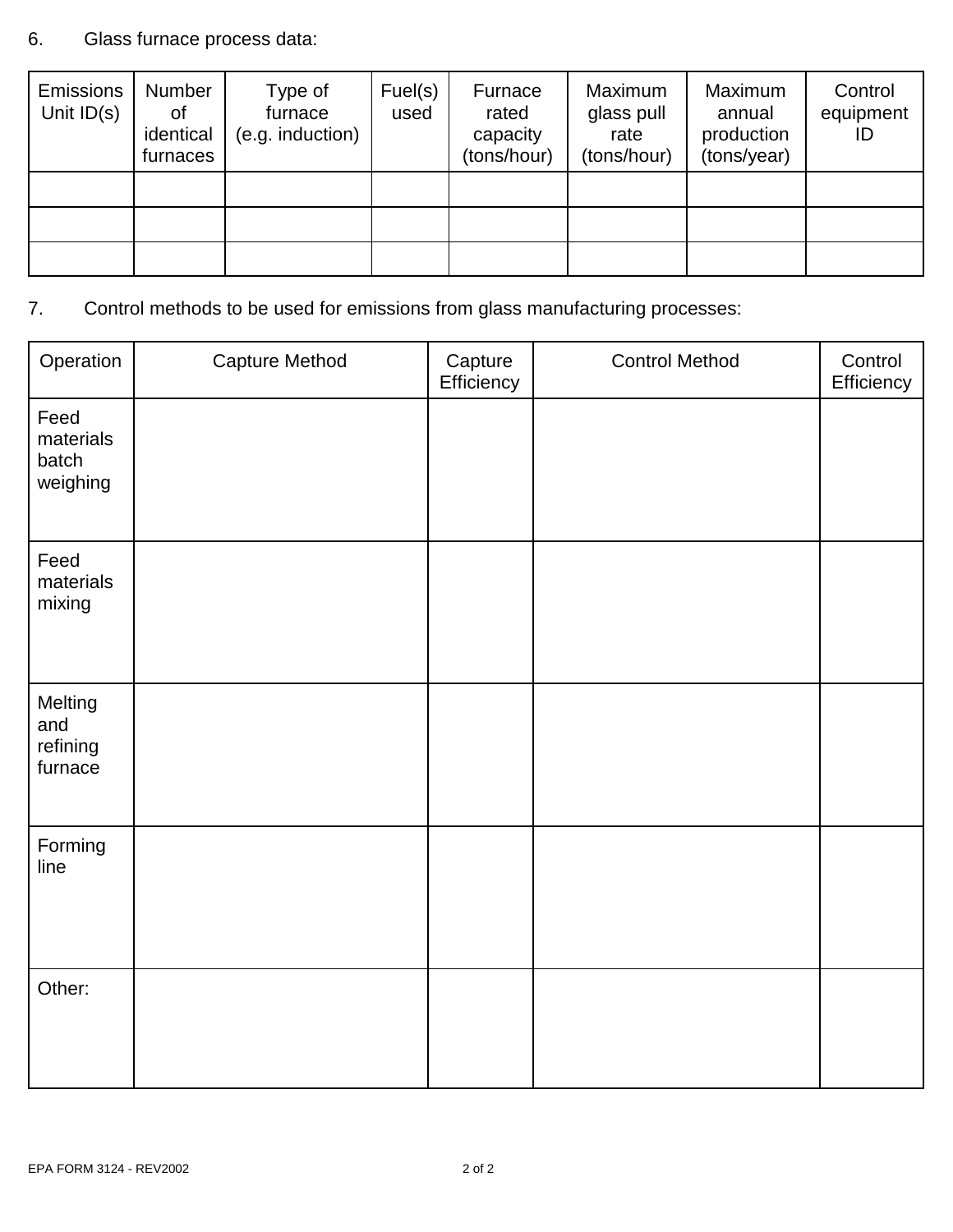## 6. Glass furnace process data:

| <b>Emissions</b><br>Unit $ID(s)$ | Number<br>οf<br>identical<br>furnaces | Type of<br>furnace<br>(e.g. induction) | Fuel(s)<br>used | Furnace<br>rated<br>capacity<br>(tons/hour) | Maximum<br>glass pull<br>rate<br>(tons/hour) | Maximum<br>annual<br>production<br>(tons/year) | Control<br>equipment<br>ID |
|----------------------------------|---------------------------------------|----------------------------------------|-----------------|---------------------------------------------|----------------------------------------------|------------------------------------------------|----------------------------|
|                                  |                                       |                                        |                 |                                             |                                              |                                                |                            |
|                                  |                                       |                                        |                 |                                             |                                              |                                                |                            |
|                                  |                                       |                                        |                 |                                             |                                              |                                                |                            |

# 7. Control methods to be used for emissions from glass manufacturing processes:

| Operation                              | <b>Capture Method</b> | Capture<br>Efficiency | <b>Control Method</b> | Control<br>Efficiency |
|----------------------------------------|-----------------------|-----------------------|-----------------------|-----------------------|
| Feed<br>materials<br>batch<br>weighing |                       |                       |                       |                       |
| Feed<br>materials<br>mixing            |                       |                       |                       |                       |
| Melting<br>and<br>refining<br>furnace  |                       |                       |                       |                       |
| Forming<br>line                        |                       |                       |                       |                       |
| Other:                                 |                       |                       |                       |                       |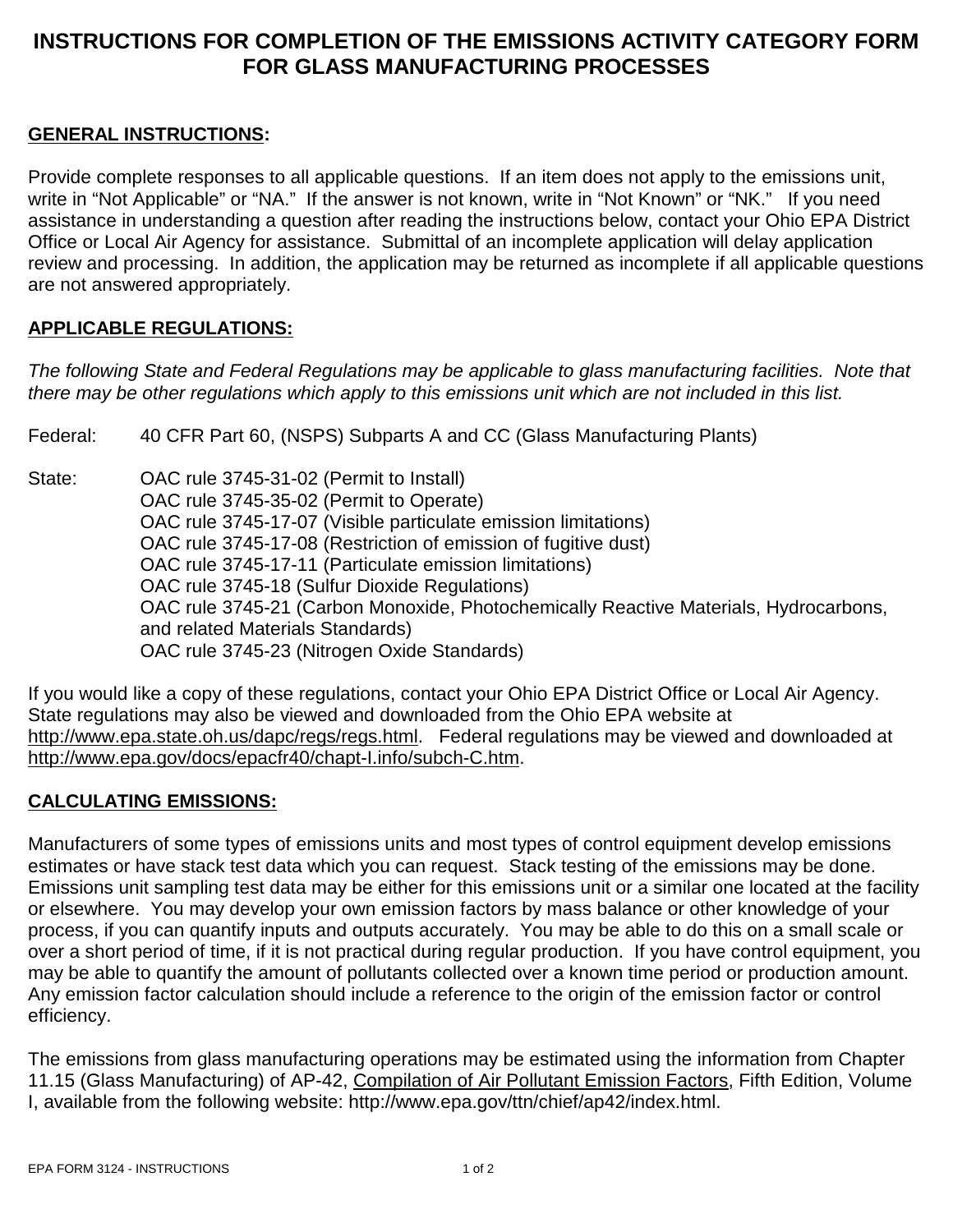# **INSTRUCTIONS FOR COMPLETION OF THE EMISSIONS ACTIVITY CATEGORY FORM FOR GLASS MANUFACTURING PROCESSES**

## **GENERAL INSTRUCTIONS:**

Provide complete responses to all applicable questions. If an item does not apply to the emissions unit, write in "Not Applicable" or "NA." If the answer is not known, write in "Not Known" or "NK." If you need assistance in understanding a question after reading the instructions below, contact your Ohio EPA District Office or Local Air Agency for assistance. Submittal of an incomplete application will delay application review and processing. In addition, the application may be returned as incomplete if all applicable questions are not answered appropriately.

#### **APPLICABLE REGULATIONS:**

*The following State and Federal Regulations may be applicable to glass manufacturing facilities. Note that there may be other regulations which apply to this emissions unit which are not included in this list.*

Federal: 40 CFR Part 60, (NSPS) Subparts A and CC (Glass Manufacturing Plants)

State: OAC rule 3745-31-02 (Permit to Install) OAC rule 3745-35-02 (Permit to Operate) OAC rule 3745-17-07 (Visible particulate emission limitations) OAC rule 3745-17-08 (Restriction of emission of fugitive dust) OAC rule 3745-17-11 (Particulate emission limitations) OAC rule 3745-18 (Sulfur Dioxide Regulations) OAC rule 3745-21 (Carbon Monoxide, Photochemically Reactive Materials, Hydrocarbons, and related Materials Standards) OAC rule 3745-23 (Nitrogen Oxide Standards)

If you would like a copy of these regulations, contact your Ohio EPA District Office or Local Air Agency. State regulations may also be viewed and downloaded from the Ohio EPA website at http://www.epa.state.oh.us/dapc/regs/regs.html. Federal regulations may be viewed and downloaded at http://www.epa.gov/docs/epacfr40/chapt-I.info/subch-C.htm.

#### **CALCULATING EMISSIONS:**

Manufacturers of some types of emissions units and most types of control equipment develop emissions estimates or have stack test data which you can request. Stack testing of the emissions may be done. Emissions unit sampling test data may be either for this emissions unit or a similar one located at the facility or elsewhere. You may develop your own emission factors by mass balance or other knowledge of your process, if you can quantify inputs and outputs accurately. You may be able to do this on a small scale or over a short period of time, if it is not practical during regular production. If you have control equipment, you may be able to quantify the amount of pollutants collected over a known time period or production amount. Any emission factor calculation should include a reference to the origin of the emission factor or control efficiency.

The emissions from glass manufacturing operations may be estimated using the information from Chapter 11.15 (Glass Manufacturing) of AP-42, Compilation of Air Pollutant Emission Factors, Fifth Edition, Volume I, available from the following website: http://www.epa.gov/ttn/chief/ap42/index.html.